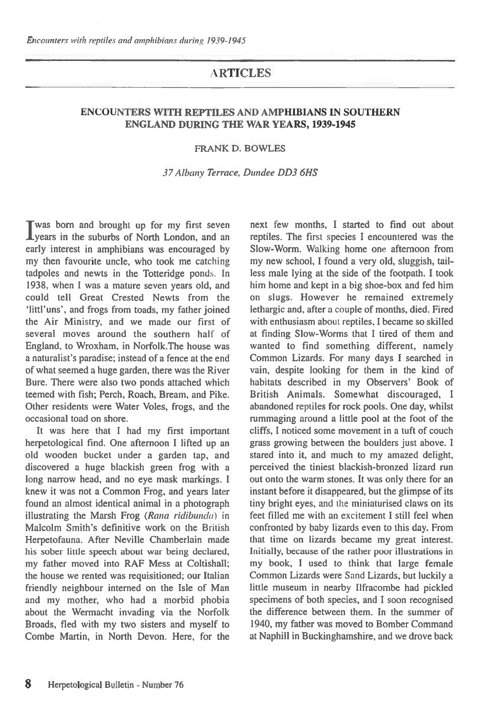## A**RTICLES**

## ENCOUNTERS WITH REPTILES AND AMPHIBIANS IN SOUTHERN ENGLAND DURING THE WAR YEARS, 1939-1945

## FRANK D. BOWLES

## 37 *Albany Terrace, Dundee DD3 6HS*

**I** was born and brought up for my first seven<br> **I** years in the suburbs of North London, and an years in the suburbs of North London, and an early interest in amphibians was encouraged by my then favourite uncle, who took me catching tadpoles and newts in the Totteridge ponds. In 1938, when I was a mature seven years old, and could tell Great Crested Newts from the 'littl'uns', and frogs from toads, my father joined the Air Ministry, and we made our first of several moves around the southern half of England, to Wroxham, in Norfolk.The house was a naturalist's paradise; instead of a fence at the end of what seemed a huge garden, there was the River Bure. There were also two ponds attached which teemed with fish; Perch, Roach, Bream, and Pike. Other residents were Water Voles, frogs, and the occasional toad on shore.

It was here that I had my first important herpetological find. One afternoon I lifted up an old wooden bucket under a garden tap, and discovered a huge blackish green frog with a long narrow head, and no eye mask markings. I knew it was not a Common Frog, and years later found an almost identical animal in a photograph illustrating the Marsh Frog *(Rana ridibunda) in*  Malcolm Smith's definitive work on the British Herpetofauna. After Neville Chamberlain made his sober little speech about war being declared, my father moved into RAF Mess at Coltishall; the house we rented was requisitioned; our Italian friendly neighbour interned on the Isle of Man and my mother, who had a morbid phobia about the Wermacht invading via the Norfolk Broads, fled with my two sisters and myself to Combe Martin, in North Devon. Here, for the

next few months, I started to find out about reptiles. The first species I encountered was the Slow-Worm. Walking home one afternoon from my new school, I found a very old, sluggish, tailless male lying at the side of the footpath. I took him home and kept in a big shoe-box and fed him on slugs. However he remained extremely lethargic and, after a couple of months, died. Fired with enthusiasm about reptiles, I became so skilled at finding Slow-Worms that I tired of them and wanted to find something different, namely Common Lizards. For many days I searched in vain, despite looking for them in the kind of habitats described in my Observers' Book of British Animals. Somewhat discouraged, I abandoned reptiles for rock pools. One day, whilst rummaging around a little pool at the foot of the cliffs, I noticed some movement in a tuft of couch grass growing between the boulders just above. I stared into it, and much to my amazed delight, perceived the tiniest blackish-bronzed lizard run out onto the warm stones. It was only there for an instant before it disappeared, but the glimpse of its tiny bright eyes, and the miniaturised claws on its feet filled me with an excitement I still feel when confronted by baby lizards even to this day. From that time on lizards became my great interest. Initially, because of the rather poor illustrations in my book, I used to think that large female Common Lizards were Sand Lizards, but luckily a little museum in nearby Ilfracombe had pickled specimens of both species, and I soon recognised the difference between them. In the summer of 1940, my father was moved to Bomber Command at Naphill in Buckinghamshire, and we drove back